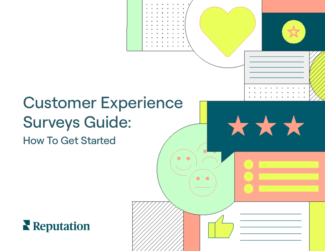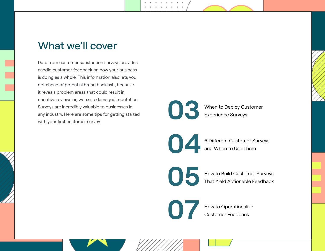# What we'll cover

Data from customer satisfaction surveys provides candid customer feedback on how your business is doing as a whole. This information also lets you get ahead of potential brand backlash, because it reveals problem areas that could result in negative reviews or, worse, a damaged reputation. Surveys are incredibly valuable to businesses in any industry. Here are some tips for getting started with your first customer survey.



When to Deploy Customer Experience Surveys

6 Different Customer Surveys and When to Use Them **04**

**05**

Customer Experience Surveys Guide Surveys Guide Started Reputation in the Customer Surveys Guide Started Reputation In the Customer Surveys Guideline Started Reputation In the Customer Surveys Guideline Started Reputation

How to Build Customer Surveys That Yield Actionable Feedback

**07**

How to Operationalize Customer Feedback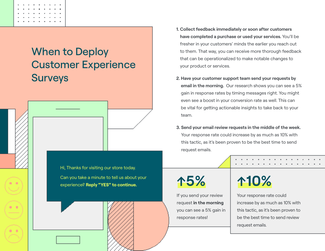

# When to Deploy Customer Experience **Surveys**

Hi, Thanks for visiting our store today. Can you take a minute to tell us about your experience? **Reply "YES" to continue.**

- **1. Collect feedback immediately or soon after customers have completed a purchase or used your services.** You'll be fresher in your customers' minds the earlier you reach out to them. That way, you can receive more thorough feedback that can be operationalized to make notable changes to your product or services.
- **2. Have your customer support team send your requests by email in the morning.** Our research shows you can see a 5% gain in response rates by timing messages right. You might even see a boost in your conversion rate as well. This can be vital for getting actionable insights to take back to your team.
- **3. Send your email review requests in the middle of the week.** Your response rate could increase by as much as 10% with this tactic, as it's been proven to be the best time to send request emails.

# **↑5%**

If you send your review request **in the morning** you can see a 5% gain in response rates!

# **↑10%**

Your response rate could increase by as much as 10% with this tactic, as it's been proven to be the best time to send review request emails.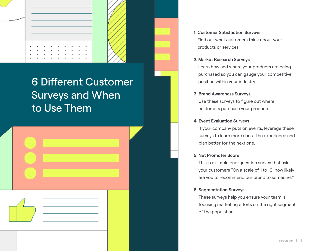

# 6 Different Customer Surveys and When to Use Them

| If your company puts on events, leverage these<br>surveys to learn more about the experience and<br>plan better for the next one.                                                  |
|------------------------------------------------------------------------------------------------------------------------------------------------------------------------------------|
| <b>5. Net Promoter Score</b><br>This is a simple one-question survey that asks<br>your customers "On a scale of 1 to 10, how likely<br>are you to recommend our brand to someone?" |
| <b>6. Segmentation Surveys</b><br>These surveys help you ensure your team is<br>focusing marketing efforts on the right segment<br>of the population.                              |
| Reputation $\vert$ 4                                                                                                                                                               |

#### **1. Customer Satisfaction Surveys**

Find out what customers think about your products or services.

#### **2. Market Research Surveys**

Learn how and where your products are being purchased so you can gauge your competitive position within your industry.

#### **3. Brand Awareness Surveys**

Use these surveys to figure out where customers purchase your products.

#### **4. Event Evaluation Surveys**

#### **5. Net Promoter Score**

#### **6. Segmentation Surveys**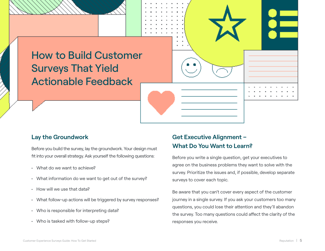# How to Build Customer Surveys That Yield Actionable Feedback

## **Lay the Groundwork**

Before you build the survey, lay the groundwork. Your design must fit into your overall strategy. Ask yourself the following questions:

- What do we want to achieve?
- What information do we want to get out of the survey?
- How will we use that data?
- What follow-up actions will be triggered by survey responses?
- Who is responsible for interpreting data?
- Who is tasked with follow-up steps?

# **Get Executive Alignment – What Do You Want to Learn?**

Before you write a single question, get your executives to agree on the business problems they want to solve with the survey. Prioritize the issues and, if possible, develop separate surveys to cover each topic.

Be aware that you can't cover every aspect of the customer journey in a single survey. If you ask your customers too many questions, you could lose their attention and they'll abandon the survey. Too many questions could affect the clarity of the responses you receive.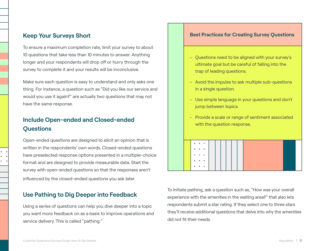## **Keep Your Surveys Short**

To ensure a maximum completion rate, limit your survey to about 10 questions that take less than 10 minutes to answer. Anything longer and your respondents will drop off or hurry through the survey to complete it and your results will be inconclusive.

Make sure each question is easy to understand and only asks one thing. For instance, a question such as "Did you like our service and would you use it again?" are actually two questions that may not have the same response.

## **Include Open-ended and Closed-ended Questions**

Open-ended questions are designed to elicit an opinion that is written in the respondents' own words. Closed-ended questions have preselected response options presented in a multiple-choice format and are designed to provide measurable data. Start the survey with open-ended questions so that the responses aren't influenced by the closed-ended questions you ask later.

## **Use Pathing to Dig Deeper into Feedback**

Using a series of questions can help you dive deeper into a topic you want more feedback on as a basis to improve operations and service delivery. This is called "pathing."

### **Best Practices for Creating Survey Questions**

- Questions need to be aligned with your survey's ultimate goal but be careful of falling into the trap of leading questions.
- Avoid the impulse to ask multiple sub-questions in a single question.
- Use simple language in your questions and don't jump between topics.
- Provide a scale or range of sentiment associated with the question response.

# **Contract A**

To initiate pathing, ask a question such as, "How was your overall experience with the amenities in the waiting area?" that also lets respondents submit a star rating. If they select one to three stars they'll receive additional questions that delve into why the amenities did not fit their needs.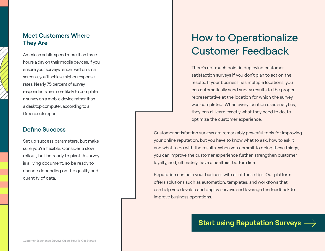## **Meet Customers Where They Are**

American adults spend more than three hours a day on their mobile devices. If you ensure your surveys render well on small screens, you'll achieve higher response rates. Nearly 75 percent of survey respondents are more likely to complete a survey on a mobile device rather than a desktop computer, according to a Greenbook report.

## **Define Success**

Set up success parameters, but make sure you're flexible. Consider a slow rollout, but be ready to pivot. A survey is a living document, so be ready to change depending on the quality and quantity of data.

# How to Operationalize Customer Feedback

There's not much point in deploying customer satisfaction surveys if you don't plan to act on the results. If your business has multiple locations, you can automatically send survey results to the proper representative at the location for which the survey was completed. When every location uses analytics, they can all learn exactly what they need to do, to optimize the customer experience.

Customer satisfaction surveys are remarkably powerful tools for improving your online reputation, but you have to know what to ask, how to ask it and what to do with the results. When you commit to doing these things, you can improve the customer experience further, strengthen customer loyalty, and, ultimately, have a healthier bottom line.

Reputation can help your business with all of these tips. Our platform offers solutions such as automation, templates, and workflows that can help you develop and deploy surveys and leverage the feedback to improve business operations.

# **[Start using Reputation Surveys](http://reputation.com/demo-request/)**